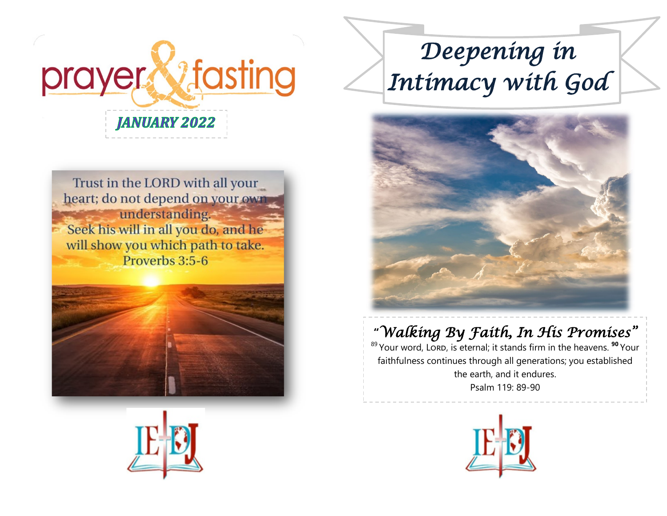

Trust in the LORD with all your heart; do not depend on your own understanding. Seek his will in all you do, and he will show you which path to take. Proverbs 3:5-6





# *Deepening in Intimacy with God*



# **"***Walking By Faith, In His Promises"*

<sup>89</sup>Your word, Lord, is eternal; it stands firm in the heavens. **<sup>90</sup>** Your faithfulness continues through all generations; you established the earth, and it endures. Psalm 119: 89-90

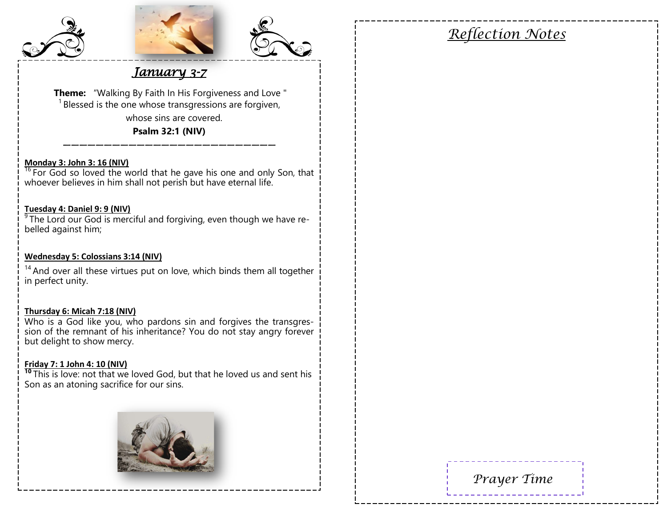





## *January 3-7*

 **Theme:** "Walking By Faith In His Forgiveness and Love "  $1$  Blessed is the one whose transgressions are forgiven, whose sins are covered. **Psalm 32:1 (NIV)**

#### **Monday 3: John 3: 16 (NIV)**

 $16$  For God so loved the world that he gave his one and only Son, that whoever believes in him shall not perish but have eternal life.

——————————————————————————

#### **Tuesday 4: Daniel 9: 9 (NIV)**

<sup>9</sup> The Lord our God is merciful and forgiving, even though we have rebelled against him;

#### **Wednesday 5: Colossians 3:14 (NIV)**

 $14$  And over all these virtues put on love, which binds them all together in perfect unity.

#### **Thursday 6: Micah 7:18 (NIV)**

Who is a God like you, who pardons sin and forgives the transgression of the remnant of his inheritance? You do not stay angry forever but delight to show mercy.

#### **Friday 7: 1 John 4: 10 (NIV)**

<sup>10</sup> This is love: not that we loved God, but that he loved us and sent his Son as an atoning sacrifice for our sins.



# *Reflection Notes*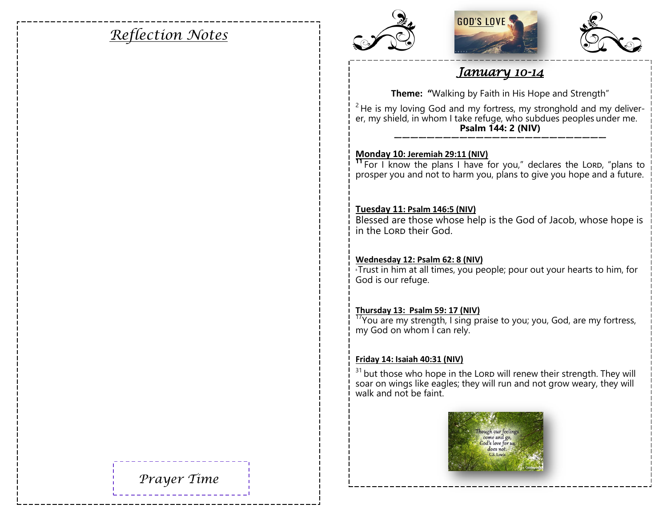# *Reflection Notes*







### *January 10-14*

**Theme: "**Walking by Faith in His Hope and Strength"

 $2$  He is my loving God and my fortress, my stronghold and my deliverer, my shield, in whom I take refuge, who subdues peoples under me. **Psalm 144: 2 (NIV)** ——————————————————————————

#### **Monday 10: Jeremiah 29:11 (NIV)**

<sup>11</sup> For I know the plans I have for you," declares the Lord, "plans to prosper you and not to harm you, plans to give you hope and a future.

#### **Tuesday 11: Psalm 146:5 (NIV)**

Blessed are those whose help is the God of Jacob, whose hope is in the Lorp their God.

#### **Wednesday 12: Psalm 62: 8 (NIV)**

 $\overline{\text{B}}$  Trust in him at all times, you people; pour out your hearts to him, for God is our refuge.

#### **Thursday 13: Psalm 59: 17 (NIV)**

 $\frac{17}{17}$ You are my strength, I sing praise to you; you, God, are my fortress, my God on whom I can rely.

#### **Friday 14: Isaiah 40:31 (NIV)**

 $31$  but those who hope in the Lord will renew their strength. They will soar on wings like eagles; they will run and not grow weary, they will walk and not be faint.

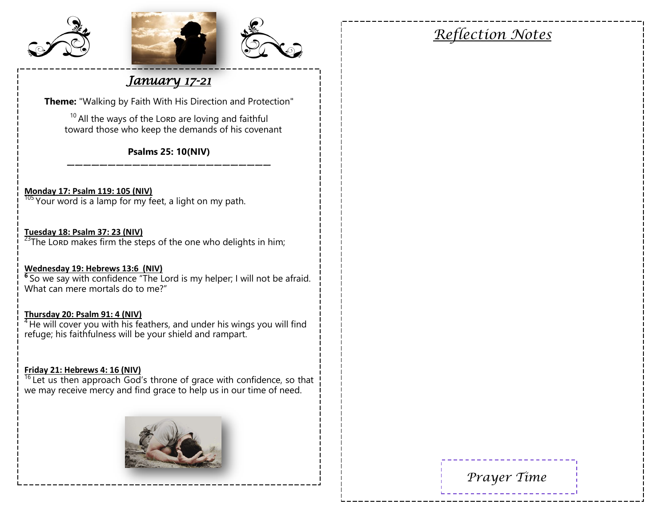





### *January 17-21*

**Theme:** "Walking by Faith With His Direction and Protection"

 $10$  All the ways of the LORD are loving and faithful toward those who keep the demands of his covenant

**Psalms 25: 10(NIV)** —————————————————————————

#### **Monday 17: Psalm 119: 105 (NIV)**

 $\frac{105}{105}$  Your word is a lamp for my feet, a light on my path.

#### **Tuesday 18: Psalm 37: 23 (NIV)**

 $23$ The Lord makes firm the steps of the one who delights in him;

#### **Wednesday 19: Hebrews 13:6 (NIV)**

**6** So we say with confidence "The Lord is my helper; I will not be afraid. What can mere mortals do to me?"

#### **Thursday 20: Psalm 91: 4 (NIV)**

 $\frac{4}{1}$  He will cover you with his feathers, and under his wings you will find refuge; his faithfulness will be your shield and rampart.

#### **Friday 21: Hebrews 4: 16 (NIV)**

 $16$  Let us then approach God's throne of grace with confidence, so that we may receive mercy and find grace to help us in our time of need.



*Reflection Notes*